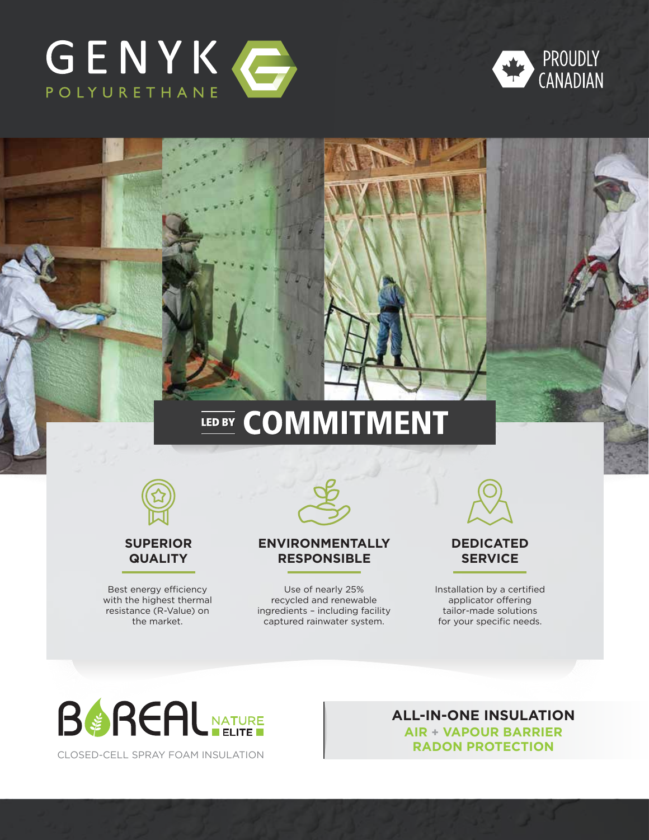



# **LED BY COMMITMENT**



**SUPERIOR QUALITY**

Best energy efficiency with the highest thermal resistance (R-Value) on the market.



### **ENVIRONMENTALLY RESPONSIBLE**

Use of nearly 25% recycled and renewable ingredients – including facility captured rainwater system.



## **DEDICATED SERVICE**

Installation by a certified applicator offering tailor-made solutions for your specific needs.



CLOSED-CELL SPRAY FOAM INSULATION

**ALL-IN-ONE INSULATION AIR + VAPOUR BARRIER RADON PROTECTION**